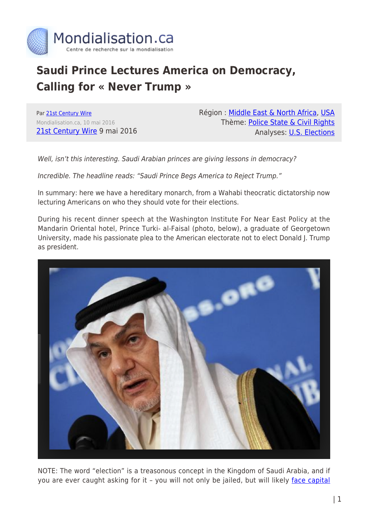

# **Saudi Prince Lectures America on Democracy, Calling for « Never Trump »**

Par [21st Century Wire](https://www.mondialisation.ca/author/21st-century-wire) Mondialisation.ca, 10 mai 2016 [21st Century Wire](http://21stcenturywire.com/2016/05/09/saudi-prince-lectures-america-on-democracy-calling-for-never-trump/) 9 mai 2016 Région : [Middle East & North Africa,](https://www.mondialisation.ca/region/middle-east) [USA](https://www.mondialisation.ca/region/usa) Thème: [Police State & Civil Rights](https://www.mondialisation.ca/theme/police-state-civil-rights) Analyses: [U.S. Elections](https://www.mondialisation.ca/indepthreport/u-s-elections)

Well, isn't this interesting. Saudi Arabian princes are giving lessons in democracy?

Incredible. The headline reads: "Saudi Prince Begs America to Reject Trump."

In summary: here we have a hereditary monarch, from a Wahabi theocratic dictatorship now lecturing Americans on who they should vote for their elections.

During his recent dinner speech at the Washington Institute For Near East Policy at the Mandarin Oriental hotel, Prince Turki- al-Faisal (photo, below), a graduate of Georgetown University, made his passionate plea to the American electorate not to elect Donald J. Trump as president.



NOTE: The word "election" is a treasonous concept in the Kingdom of Saudi Arabia, and if you are ever caught asking for it - you will not only be jailed, but will likely [face capital](http://www.nbcnews.com/news/world/reformist-cleric-sheikh-nimr-al-nimr-among-47-executed-saudi-n489116)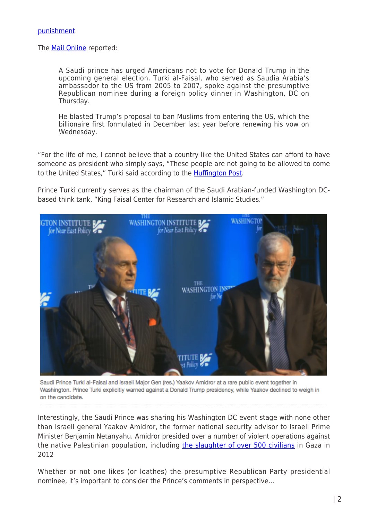#### The **Mail Online** reported:

A Saudi prince has urged Americans not to vote for Donald Trump in the upcoming general election. Turki al-Faisal, who served as Saudia Arabia's ambassador to the US from 2005 to 2007, spoke against the presumptive Republican nominee during a foreign policy dinner in Washington, DC on Thursday.

He blasted Trump's proposal to ban Muslims from entering the US, which the billionaire first formulated in December last year before renewing his vow on Wednesday.

"For the life of me, I cannot believe that a country like the United States can afford to have someone as president who simply says, "These people are not going to be allowed to come to the United States," Turki said according to the [Huffington Post](http://www.huffingtonpost.com/entry/prince-turki-donald-trump_us_572c1fd2e4b096e9f090e769).

Prince Turki currently serves as the chairman of the Saudi Arabian-funded Washington DCbased think tank, "King Faisal Center for Research and Islamic Studies."



Saudi Prince Turki al-Faisal and Israeli Major Gen (res.) Yaakov Amidror at a rare public event together in Washington. Prince Turki explicitly warned against a Donald Trump presidency, while Yaakov declined to weigh in on the candidate.

Interestingly, the Saudi Prince was sharing his Washington DC event stage with none other than Israeli general Yaakov Amidror, the former national security advisor to Israeli Prime Minister Benjamin Netanyahu. Amidror presided over a number of violent operations against the native Palestinian population, including [the slaughter of over 500 civilians](https://en.wikipedia.org/wiki/March_2012_Gaza%E2%80%93Israel_clashes) in Gaza in 2012

Whether or not one likes (or loathes) the presumptive Republican Party presidential nominee, it's important to consider the Prince's comments in perspective…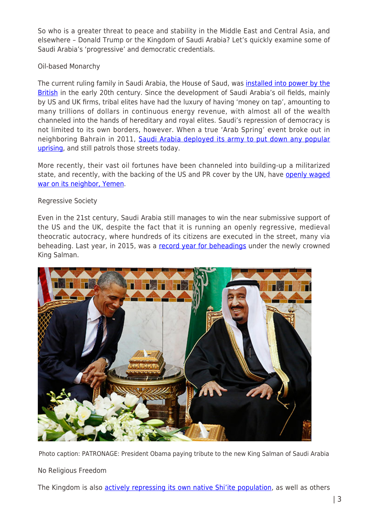So who is a greater threat to peace and stability in the Middle East and Central Asia, and elsewhere – Donald Trump or the Kingdom of Saudi Arabia? Let's quickly examine some of Saudi Arabia's 'progressive' and democratic credentials.

# Oil-based Monarchy

The current ruling family in Saudi Arabia, the House of Saud, was *[installed into power by the](https://jafrianews.com/magazine/history-of-british-sponsored-al-saud-their-association-with-wahabi-ideology/)* [British](https://jafrianews.com/magazine/history-of-british-sponsored-al-saud-their-association-with-wahabi-ideology/) in the early 20th century. Since the development of Saudi Arabia's oil fields, mainly by US and UK firms, tribal elites have had the luxury of having 'money on tap', amounting to many trillions of dollars in continuous energy revenue, with almost all of the wealth channeled into the hands of hereditary and royal elites. Saudi's repression of democracy is not limited to its own borders, however. When a true 'Arab Spring' event broke out in neighboring Bahrain in 2011, [Saudi Arabia deployed its army to put down any popular](http://www.nytimes.com/2011/03/15/world/middleeast/15bahrain.html?_r=0) [uprising](http://www.nytimes.com/2011/03/15/world/middleeast/15bahrain.html?_r=0), and still patrols those streets today.

More recently, their vast oil fortunes have been channeled into building-up a militarized state, and recently, with the backing of the US and PR cover by the UN, have [openly waged](http://21stcenturywire.com/2016/04/03/yemen-un-whitewashing-saudi-coalition-war-crimes-and-international-human-rights-violations/) [war on its neighbor, Yemen.](http://21stcenturywire.com/2016/04/03/yemen-un-whitewashing-saudi-coalition-war-crimes-and-international-human-rights-violations/)

## Regressive Society

Even in the 21st century, Saudi Arabia still manages to win the near submissive support of the US and the UK, despite the fact that it is running an openly regressive, medieval theocratic autocracy, where hundreds of its citizens are executed in the street, many via beheading. Last year, in 2015, was a [record year for beheadings](http://21stcenturywire.com/2015/08/25/bumper-year-beheadings-executions-reach-an-all-time-high-in-saudi-arabia/) under the newly crowned King Salman.



Photo caption: PATRONAGE: President Obama paying tribute to the new King Salman of Saudi Arabia

# No Religious Freedom

The Kingdom is also **actively repressing its own native Shi'ite population**, as well as others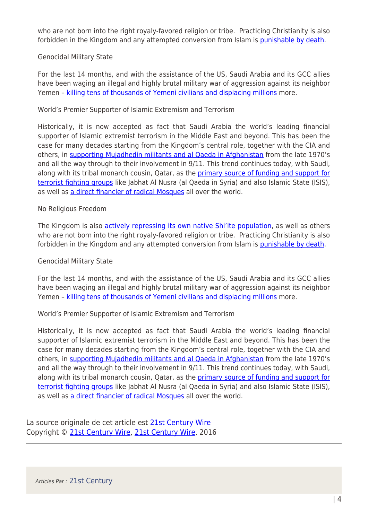who are not born into the right royaly-favored religion or tribe. Practicing Christianity is also forbidden in the Kingdom and any attempted conversion from Islam is [punishable by death.](http://www.theguardian.com/world/ng-interactive/2015/jul/27/where-in-the-world-is-it-worst-place-to-be-a-christian)

## Genocidal Military State

For the last 14 months, and with the assistance of the US, Saudi Arabia and its GCC allies have been waging an illegal and highly brutal military war of aggression against its neighbor Yemen – [killing tens of thousands of Yemeni civilians and displacing millions](http://21stcenturywire.com/2016/04/04/yemen-a-genocidal-war-against-children-and-civilians-sanctioned-by-the-un-us-uk-nato/) more.

## World's Premier Supporter of Islamic Extremism and Terrorism

Historically, it is now accepted as fact that Saudi Arabia the world's leading financial supporter of Islamic extremist terrorism in the Middle East and beyond. This has been the case for many decades starting from the Kingdom's central role, together with the CIA and others, in [supporting Mujadhedin militants and al Qaeda in Afghanistan](http://www.globalresearch.ca/sleeping-with-the-devil-how-u-s-and-saudi-backing-of-al-qaeda-led-to-911/5303313) from the late 1970's and all the way through to their involvement in 9/11. This trend continues today, with Saudi, along with its tribal monarch cousin, Qatar, as the [primary source of funding and support for](http://www.independent.co.uk/news/world/middle-east/syria-crisis-turkey-and-saudi-arabia-shock-western-countries-by-supporting-anti-assad-jihadists-10242747.html) [terrorist fighting groups](http://www.independent.co.uk/news/world/middle-east/syria-crisis-turkey-and-saudi-arabia-shock-western-countries-by-supporting-anti-assad-jihadists-10242747.html) like Jabhat Al Nusra (al Qaeda in Syria) and also Islamic State (ISIS), as well as [a direct financier of radical Mosques](http://www.newsweek.com/german-official-warns-saudi-arabia-militant-mosques-401637) all over the world.

## No Religious Freedom

The Kingdom is also **actively repressing its own native Shi'ite population**, as well as others who are not born into the right royaly-favored religion or tribe. Practicing Christianity is also forbidden in the Kingdom and any attempted conversion from Islam is [punishable by death.](http://www.theguardian.com/world/ng-interactive/2015/jul/27/where-in-the-world-is-it-worst-place-to-be-a-christian)

#### Genocidal Military State

For the last 14 months, and with the assistance of the US, Saudi Arabia and its GCC allies have been waging an illegal and highly brutal military war of aggression against its neighbor Yemen - [killing tens of thousands of Yemeni civilians and displacing millions](http://21stcenturywire.com/2016/04/04/yemen-a-genocidal-war-against-children-and-civilians-sanctioned-by-the-un-us-uk-nato/) more.

World's Premier Supporter of Islamic Extremism and Terrorism

Historically, it is now accepted as fact that Saudi Arabia the world's leading financial supporter of Islamic extremist terrorism in the Middle East and beyond. This has been the case for many decades starting from the Kingdom's central role, together with the CIA and others, in [supporting Mujadhedin militants and al Qaeda in Afghanistan](http://www.globalresearch.ca/sleeping-with-the-devil-how-u-s-and-saudi-backing-of-al-qaeda-led-to-911/5303313) from the late 1970's and all the way through to their involvement in 9/11. This trend continues today, with Saudi, along with its tribal monarch cousin, Qatar, as the [primary source of funding and support for](http://www.independent.co.uk/news/world/middle-east/syria-crisis-turkey-and-saudi-arabia-shock-western-countries-by-supporting-anti-assad-jihadists-10242747.html) [terrorist fighting groups](http://www.independent.co.uk/news/world/middle-east/syria-crisis-turkey-and-saudi-arabia-shock-western-countries-by-supporting-anti-assad-jihadists-10242747.html) like Jabhat Al Nusra (al Qaeda in Syria) and also Islamic State (ISIS), as well as [a direct financier of radical Mosques](http://www.newsweek.com/german-official-warns-saudi-arabia-militant-mosques-401637) all over the world.

La source originale de cet article est [21st Century Wire](http://21stcenturywire.com/2016/05/09/saudi-prince-lectures-america-on-democracy-calling-for-never-trump/) Copyright © [21st Century Wire](https://www.mondialisation.ca/author/21st-century-wire), [21st Century Wire](http://21stcenturywire.com/2016/05/09/saudi-prince-lectures-america-on-democracy-calling-for-never-trump/), 2016